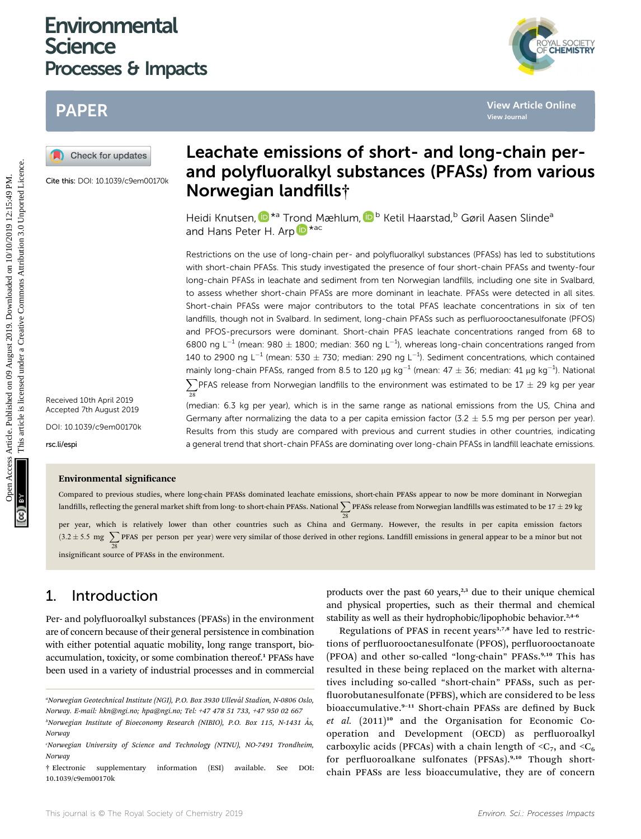## **Environmental Science** Processes & Impacts

# PAPER



Cite this: DOI: 10.1039/c9em00170k

## Leachate emissions of short- and long-chain perand polyfluoralkyl substances (PFASs) from various Norwegian landfills†

Heidi Knutsen[,](http://orcid.org/0000-0002-2018-3882)  $\mathbb{D}^{*a}$  Tr[ond](http://orcid.org/0000-0002-0747-8838) Mæhlum,  $\mathbb{D}^{b}$  Ketil Haarstad,<sup>b</sup> Gøril Aasen Slinde<sup>a</sup> and Hans Peter H. Arp **D** \*ac

Restrictions on the use of long-chain per- and polyfluoralkyl substances (PFASs) has led to substitutions with short-chain PFASs. This study investigated the presence of four short-chain PFASs and twenty-four long-chain PFASs in leachate and sediment from ten Norwegian landfills, including one site in Svalbard, to assess whether short-chain PFASs are more dominant in leachate. PFASs were detected in all sites Short-chain PFASs were major contributors to the total PFAS leachate concentrations in six of ten landfills, though not in Svalbard. In sediment, long-chain PFASs such as perfluorooctanesulfonate (PFOS) and PFOS-precursors were dominant. Short-chain PFAS leachate concentrations ranged from 68 to 6800 ng L<sup>-1</sup> (mean: 980  $\pm$  1800; median: 360 ng L<sup>-1</sup>), whereas long-chain concentrations ranged from 140 to 2900 ng L<sup>-1</sup> (mean: 530  $\pm$  730; median: 290 ng L<sup>-1</sup>). Sediment concentrations, which contained mainly long-chain PFASs, ranged from 8.5 to 120  $\mu$ g kg<sup>-1</sup> (mean: 47  $\pm$  36; median: 41  $\mu$ g kg<sup>-1</sup>). National  $\sum$ PFAS release from Norwegian landfills to the environment was estimated to be 17  $\pm$  29 kg per year 28 **PAPER**<br> **CREATIVE CONTINUMERT CONTINUMERT CONTINUMERT CONTINUMERT CONTINUMERT CONTINUMERT CONTINUMERT CONTINUMERT CONTINUMERT CONTINUMERT CONTINUMERT CONTINUMERT CONTINUMERT CONTINUMERT CONTINUMERT CONTINUMERT CONTINUMERT** 

(median: 6.3 kg per year), which is in the same range as national emissions from the US, China and Germany after normalizing the data to a per capita emission factor (3.2  $\pm$  5.5 mg per person per year). Results from this study are compared with previous and current studies in other countries, indicating a general trend that short-chain PFASs are dominating over long-chain PFASs in landfill leachate emissions.

Received 10th April 2019 Accepted 7th August 2019

DOI: 10.1039/c9em00170k

rsc.li/espi

### Environmental significance

Compared to previous studies, where long-chain PFASs dominated leachate emissions, short-chain PFASs appear to now be more dominant in Norwegian landfills, reflecting the general market shift from long- to short-chain PFASs. National  $\sum$  PFASs release from Norwegian landfills was estimated to be 17  $\pm$  29 kg

28 per year, which is relatively lower than other countries such as China and Germany. However, the results in per capita emission factors  $(3.2 \pm 5.5 \text{ mg} \sum$ PFAS per person per year) were very similar of those derived in other regions. Landfill emissions in general appear to be a minor but not 28 insignificant source of PFASs in the environment.

## 1. Introduction

Per- and polyfluoroalkyl substances (PFASs) in the environment are of concern because of their general persistence in combination with either potential aquatic mobility, long range transport, bioaccumulation, toxicity, or some combination thereof.<sup>1</sup> PFASs have been used in a variety of industrial processes and in commercial

products over the past 60 years, $2,3$  due to their unique chemical and physical properties, such as their thermal and chemical stability as well as their hydrophobic/lipophobic behavior.<sup>2,4-6</sup>

Regulations of PFAS in recent years $3,7,8$  have led to restrictions of perfluorooctanesulfonate (PFOS), perfluorooctanoate (PFOA) and other so-called "long-chain" PFASs.<sup>9,10</sup> This has resulted in these being replaced on the market with alternatives including so-called "short-chain" PFASs, such as per fluorobutanesulfonate (PFBS), which are considered to be less bioaccumulative.<sup>9-11</sup> Short-chain PFASs are defined by Buck  $et$   $al.$   $(2011)^{10}$  and the Organisation for Economic Cooperation and Development (OECD) as perfluoroalkyl carboxylic acids (PFCAs) with a chain length of  ${}<\mathbb{C}_7$ , and  ${}<\mathbb{C}_6$ for perfluoroalkane sulfonates (PFSAs).<sup>9,10</sup> Though shortchain PFASs are less bioaccumulative, they are of concern



<sup>&</sup>quot;Norwegian Geotechnical Institute (NGI), P.O. Box 3930 Ullevål Stadion, N-0806 Oslo, Norway. E-mail: hkn@ngi.no; hpa@ngi.no; Tel: +47 478 51 733, +47 950 02 667

<sup>&</sup>lt;sup>b</sup>Norwegian Institute of Bioeconomy Research (NIBIO), P.O. Box 115, N-1431 Ås, Norway

c Norwegian University of Science and Technology (NTNU), NO-7491 Trondheim, Norway

<sup>†</sup> Electronic supplementary information (ESI) available. See DOI: 10.1039/c9em00170k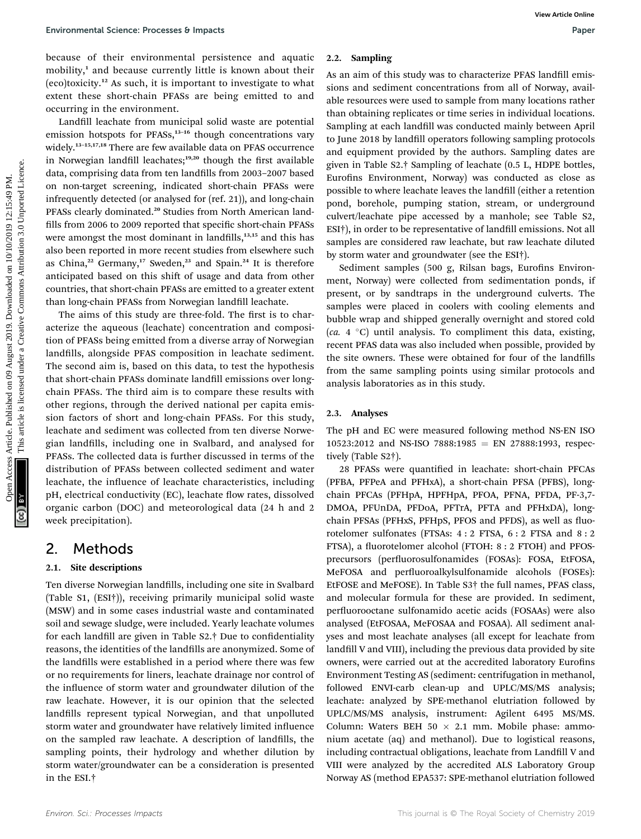because of their environmental persistence and aquatic mobility,<sup>1</sup> and because currently little is known about their (eco)toxicity.<sup>12</sup> As such, it is important to investigate to what extent these short-chain PFASs are being emitted to and occurring in the environment.

Landfill leachate from municipal solid waste are potential emission hotspots for PFASs,<sup>13-16</sup> though concentrations vary widely.<sup>13</sup>–15,17,18 There are few available data on PFAS occurrence in Norwegian landfill leachates;<sup>19,20</sup> though the first available data, comprising data from ten landfills from 2003-2007 based on non-target screening, indicated short-chain PFASs were infrequently detected (or analysed for (ref. 21)), and long-chain PFASs clearly dominated.<sup>20</sup> Studies from North American landfills from 2006 to 2009 reported that specific short-chain PFASs were amongst the most dominant in landfills,<sup>13,15</sup> and this has also been reported in more recent studies from elsewhere such as China,<sup>22</sup> Germany,<sup>17</sup> Sweden,<sup>23</sup> and Spain.<sup>24</sup> It is therefore anticipated based on this shift of usage and data from other countries, that short-chain PFASs are emitted to a greater extent than long-chain PFASs from Norwegian landfill leachate. Environmental Science-Processes B impacts<br>
Decision and Square 2019. Analyticle is licensed to the nation of this article is article is an and solition to concurrent in the state of the state of the state of the state of t

The aims of this study are three-fold. The first is to characterize the aqueous (leachate) concentration and composition of PFASs being emitted from a diverse array of Norwegian landfills, alongside PFAS composition in leachate sediment. The second aim is, based on this data, to test the hypothesis that short-chain PFASs dominate landfill emissions over longchain PFASs. The third aim is to compare these results with other regions, through the derived national per capita emission factors of short and long-chain PFASs. For this study, leachate and sediment was collected from ten diverse Norwegian landfills, including one in Svalbard, and analysed for PFASs. The collected data is further discussed in terms of the distribution of PFASs between collected sediment and water leachate, the influence of leachate characteristics, including pH, electrical conductivity (EC), leachate flow rates, dissolved organic carbon (DOC) and meteorological data (24 h and 2 week precipitation).

### 2. Methods

#### 2.1. Site descriptions

Ten diverse Norwegian landfills, including one site in Svalbard (Table S1, (ESI†)), receiving primarily municipal solid waste (MSW) and in some cases industrial waste and contaminated soil and sewage sludge, were included. Yearly leachate volumes for each landfill are given in Table  $S2.†$  Due to confidentiality reasons, the identities of the landfills are anonymized. Some of the landfills were established in a period where there was few or no requirements for liners, leachate drainage nor control of the influence of storm water and groundwater dilution of the raw leachate. However, it is our opinion that the selected landfills represent typical Norwegian, and that unpolluted storm water and groundwater have relatively limited influence on the sampled raw leachate. A description of landfills, the sampling points, their hydrology and whether dilution by storm water/groundwater can be a consideration is presented in the ESI.†

#### 2.2. Sampling

As an aim of this study was to characterize PFAS landfill emissions and sediment concentrations from all of Norway, available resources were used to sample from many locations rather than obtaining replicates or time series in individual locations. Sampling at each landfill was conducted mainly between April to June 2018 by landfill operators following sampling protocols and equipment provided by the authors. Sampling dates are given in Table S2.† Sampling of leachate (0.5 L, HDPE bottles, Eurofins Environment, Norway) was conducted as close as possible to where leachate leaves the landfill (either a retention pond, borehole, pumping station, stream, or underground culvert/leachate pipe accessed by a manhole; see Table S2, ESI<sup>†</sup>), in order to be representative of landfill emissions. Not all samples are considered raw leachate, but raw leachate diluted by storm water and groundwater (see the ESI†).

Sediment samples (500 g, Rilsan bags, Eurofins Environment, Norway) were collected from sedimentation ponds, if present, or by sandtraps in the underground culverts. The samples were placed in coolers with cooling elements and bubble wrap and shipped generally overnight and stored cold (ca. 4  $\degree$ C) until analysis. To compliment this data, existing, recent PFAS data was also included when possible, provided by the site owners. These were obtained for four of the landfills from the same sampling points using similar protocols and analysis laboratories as in this study.

#### 2.3. Analyses

The pH and EC were measured following method NS-EN ISO  $10523:2012$  and NS-ISO 7888:1985 = EN 27888:1993, respectively (Table S2†).

28 PFASs were quantified in leachate: short-chain PFCAs (PFBA, PFPeA and PFHxA), a short-chain PFSA (PFBS), longchain PFCAs (PFHpA, HPFHpA, PFOA, PFNA, PFDA, PF-3,7-DMOA, PFUnDA, PFDoA, PFTrA, PFTA and PFHxDA), longchain PFSAs (PFHxS, PFHpS, PFOS and PFDS), as well as fluorotelomer sulfonates (FTSAs: 4 : 2 FTSA, 6 : 2 FTSA and 8 : 2 FTSA), a fluorotelomer alcohol (FTOH: 8 : 2 FTOH) and PFOSprecursors (perfluorosulfonamides (FOSAs): FOSA, EtFOSA, MeFOSA and perfluoroalkylsulfonamide alcohols (FOSEs): EtFOSE and MeFOSE). In Table S3† the full names, PFAS class, and molecular formula for these are provided. In sediment, perfluorooctane sulfonamido acetic acids (FOSAAs) were also analysed (EtFOSAA, MeFOSAA and FOSAA). All sediment analyses and most leachate analyses (all except for leachate from landfill V and VIII), including the previous data provided by site owners, were carried out at the accredited laboratory Eurofins Environment Testing AS (sediment: centrifugation in methanol, followed ENVI-carb clean-up and UPLC/MS/MS analysis; leachate: analyzed by SPE-methanol elutriation followed by UPLC/MS/MS analysis, instrument: Agilent 6495 MS/MS. Column: Waters BEH 50  $\times$  2.1 mm. Mobile phase: ammonium acetate (aq) and methanol). Due to logistical reasons, including contractual obligations, leachate from Landfill V and VIII were analyzed by the accredited ALS Laboratory Group Norway AS (method EPA537: SPE-methanol elutriation followed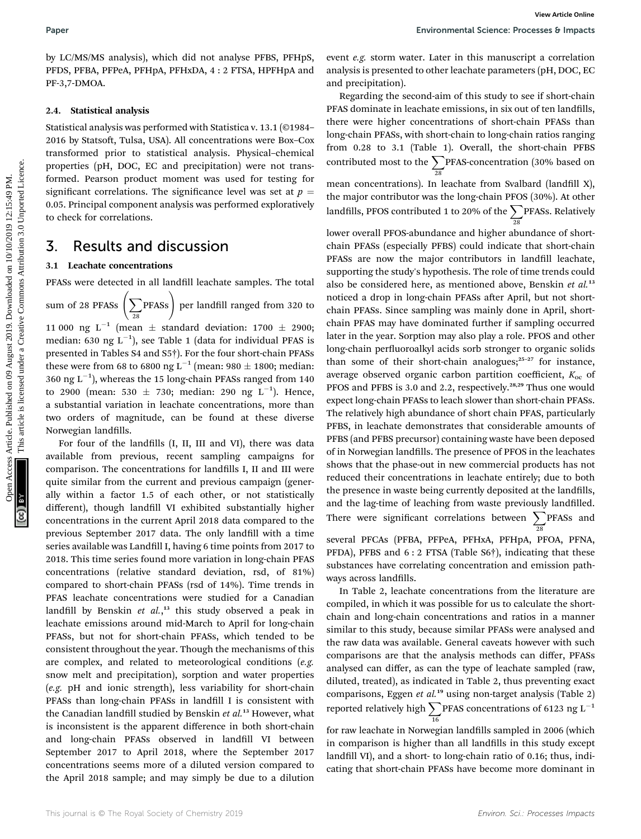by LC/MS/MS analysis), which did not analyse PFBS, PFHpS, PFDS, PFBA, PFPeA, PFHpA, PFHxDA, 4 : 2 FTSA, HPFHpA and PF-3,7-DMOA.

#### 2.4. Statistical analysis

Statistical analysis was performed with Statistica v. 13.1 (©1984– 2016 by Statsoft, Tulsa, USA). All concentrations were Box-Cox transformed prior to statistical analysis. Physical–chemical properties (pH, DOC, EC and precipitation) were not transformed. Pearson product moment was used for testing for significant correlations. The significance level was set at  $p =$ 0.05. Principal component analysis was performed exploratively to check for correlations.

### 3. Results and discussion

#### 3.1 Leachate concentrations

PFASs were detected in all landfill leachate samples. The total

sum of 28 PFASs  $\left( \sum_{n=1}^{\infty} \right)$ 28 PFASs) per landfill ranged from 320 to 11 000 ng L<sup>-1</sup> (mean  $\pm$  standard deviation: 1700  $\pm$  2900; median: 630 ng  $\mathrm{L}^{-1}$ ), see Table 1 (data for individual PFAS is presented in Tables S4 and S5†). For the four short-chain PFASs these were from 68 to 6800 ng L<sup>-1</sup> (mean: 980  $\pm$  1800; median: 360 ng L<sup>-1</sup>), whereas the 15 long-chain PFASs ranged from 140 to 2900 (mean: 530  $\pm$  730; median: 290 ng L<sup>-1</sup>). Hence, a substantial variation in leachate concentrations, more than two orders of magnitude, can be found at these diverse Norwegian landfills.

For four of the landfills (I, II, III and VI), there was data available from previous, recent sampling campaigns for comparison. The concentrations for landfills I, II and III were quite similar from the current and previous campaign (generally within a factor 1.5 of each other, or not statistically different), though landfill VI exhibited substantially higher concentrations in the current April 2018 data compared to the previous September 2017 data. The only landfill with a time series available was Landfill I, having 6 time points from 2017 to 2018. This time series found more variation in long-chain PFAS concentrations (relative standard deviation, rsd, of 81%) compared to short-chain PFASs (rsd of 14%). Time trends in PFAS leachate concentrations were studied for a Canadian landfill by Benskin et al.,<sup>13</sup> this study observed a peak in leachate emissions around mid-March to April for long-chain PFASs, but not for short-chain PFASs, which tended to be consistent throughout the year. Though the mechanisms of this are complex, and related to meteorological conditions (e.g. snow melt and precipitation), sorption and water properties (e.g. pH and ionic strength), less variability for short-chain PFASs than long-chain PFASs in landfill I is consistent with the Canadian landfill studied by Benskin et al.<sup>13</sup> However, what is inconsistent is the apparent difference in both short-chain and long-chain PFASs observed in landfill VI between September 2017 to April 2018, where the September 2017 concentrations seems more of a diluted version compared to the April 2018 sample; and may simply be due to a dilution

event e.g. storm water. Later in this manuscript a correlation analysis is presented to other leachate parameters (pH, DOC, EC and precipitation).

Regarding the second-aim of this study to see if short-chain PFAS dominate in leachate emissions, in six out of ten landfills, there were higher concentrations of short-chain PFASs than long-chain PFASs, with short-chain to long-chain ratios ranging from 0.28 to 3.1 (Table 1). Overall, the short-chain PFBS contributed most to the  $\sum$  PFAS-concentration (30% based on 28 mean concentrations). In leachate from Svalbard (landfill  $X$ ), the major contributor was the long-chain PFOS (30%). At other landfills, PFOS contributed 1 to 20% of the  $\sum$  PFASs. Relatively 28

lower overall PFOS-abundance and higher abundance of shortchain PFASs (especially PFBS) could indicate that short-chain PFASs are now the major contributors in landfill leachate, supporting the study's hypothesis. The role of time trends could also be considered here, as mentioned above, Benskin et  $al$ <sup>13</sup> noticed a drop in long-chain PFASs after April, but not shortchain PFASs. Since sampling was mainly done in April, shortchain PFAS may have dominated further if sampling occurred later in the year. Sorption may also play a role. PFOS and other long-chain perfluoroalkyl acids sorb stronger to organic solids than some of their short-chain analogues; $25-27$  for instance, average observed organic carbon partition coefficient,  $K_{oc}$  of PFOS and PFBS is 3.0 and 2.2, respectively.<sup>28,29</sup> Thus one would expect long-chain PFASs to leach slower than short-chain PFASs. The relatively high abundance of short chain PFAS, particularly PFBS, in leachate demonstrates that considerable amounts of PFBS (and PFBS precursor) containing waste have been deposed of in Norwegian landfills. The presence of PFOS in the leachates shows that the phase-out in new commercial products has not reduced their concentrations in leachate entirely; due to both the presence in waste being currently deposited at the landfills, and the lag-time of leaching from waste previously landfilled. There were significant correlations between  $\sum$ PFASs and 28 Paper<br>
For CoNSIMS analysis), which did not analyse PIBS, PPIDS, eccur seg atom water. Later in this manuscript a correlation<br>
PF-1, PHM, PFIInD, PFIInD, 2019. IPHON, PFIIND, and analysis (in presented to other leads<br>the

> several PFCAs (PFBA, PFPeA, PFHxA, PFHpA, PFOA, PFNA, PFDA), PFBS and 6 : 2 FTSA (Table S6<sup>+</sup>), indicating that these substances have correlating concentration and emission pathways across landfills.

> In Table 2, leachate concentrations from the literature are compiled, in which it was possible for us to calculate the shortchain and long-chain concentrations and ratios in a manner similar to this study, because similar PFASs were analysed and the raw data was available. General caveats however with such comparisons are that the analysis methods can differ, PFASs analysed can differ, as can the type of leachate sampled (raw, diluted, treated), as indicated in Table 2, thus preventing exact comparisons, Eggen et al.<sup>19</sup> using non-target analysis (Table 2) reported relatively high  $\sum$ 16 PFAS concentrations of 6123 ng  $L^{-1}$

> for raw leachate in Norwegian landfills sampled in 2006 (which in comparison is higher than all landfills in this study except landfill VI), and a short- to long-chain ratio of 0.16; thus, indicating that short-chain PFASs have become more dominant in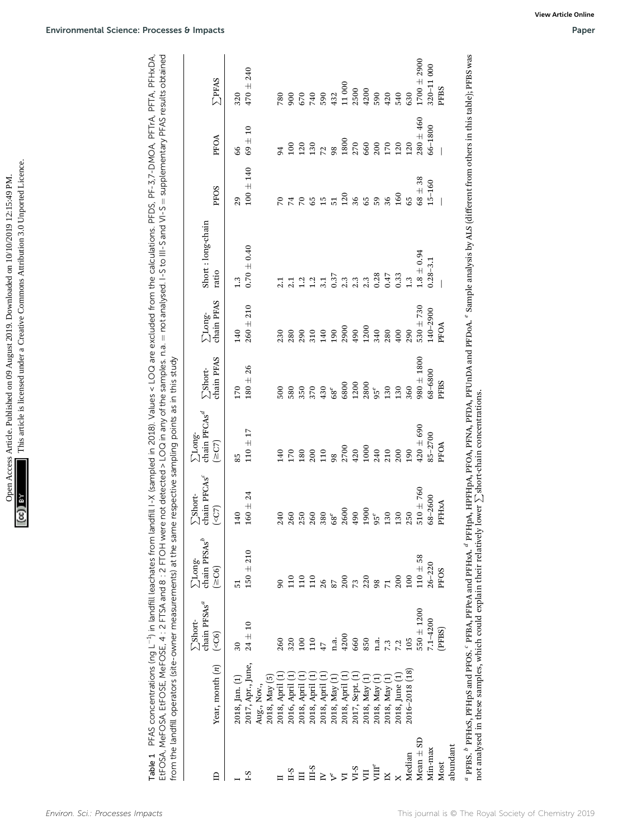| $-10/10/0101013.15/10101$<br>324<br>The Design<br>maniary company<br>$\sim$ d An $\sim$<br>$m \Delta \Delta$ Dublich | יי יי היי היי<br>C STAT<br>$\frac{1}{2}$ |
|----------------------------------------------------------------------------------------------------------------------|------------------------------------------|
| A SSS-DO<br>men A                                                                                                    |                                          |

| $1700 \pm 2900$<br>000<br>240<br><b>SPFAS</b><br>$320 - 11$<br>11000<br>$470\pm$<br>PFBS<br>2500<br>4200<br>590<br>670<br>740<br>590<br>420<br>540<br>630<br>900<br>432<br>320<br>780<br>$280 \pm 460$<br>66-1800<br>$\overline{10}$<br>PFOA<br>$69 +$<br>1800<br>270<br>200<br>130<br>660<br>170<br>120<br>100<br>120<br>120<br>98<br>72<br>66<br>$\overline{5}$<br>140<br>$68\pm38$<br>$15 - 160$<br>$100\,\pm\,$<br>PFOS<br>160<br>120<br>36<br>36<br>59<br>65<br>$\begin{smallmatrix} 0 & 0 \\ 0 & 0 \\ 0 & 0 \end{smallmatrix}$<br>$\overline{51}$<br>65<br>29<br>$\overline{7}$<br>$\sqrt{2}$<br>Short: long-chain<br>$0.70 \pm 0.40$<br>$1.8 \pm 0.94$<br>$0.28 - 3.1$<br>ratio<br>0.28<br>0.47<br>0.33<br>0.37<br>2.3<br>2.3<br>$1.3\,$<br>1.3<br>$1.2\,$<br>1.2<br>3.1<br>2.1<br>2.1<br>$\sum$ Long-<br>chain PFAS<br>210<br>$530 + 730$<br>140-2900<br>$+$<br>PFOA<br>1200<br>2900<br>260<br>490<br>190<br>340<br>140<br>280<br>400<br>290<br>280<br>290<br>310<br>140<br>230<br>$980 \pm 1800$<br>$\sum \mathrm{Short}$ chain PFAS<br>$180 \pm 26$<br>68-6800<br>PFBS<br>6800<br>1200<br>2800<br>350<br>370<br>430<br>130<br>130<br>360<br>170<br>580<br>500<br>$68^e$<br>$95^e$ | from the landfill operators (site-owner measurements) at the same respective sampling points as in this study<br>chain PFCAs <sup>d</sup><br>$420 \pm 690$<br>F<br>$85 - 2700$<br>$\Sigma$ Long-<br>$110\ \pm$<br>$(\geq C7)$<br>PFOA<br>2700<br>1000<br>420<br>240<br>210<br>170<br>180<br>200<br>110<br>200<br>190<br>140<br>98<br>85 | chain PFCAs <sup>c</sup><br>60<br>$\Sigma$ Short-<br>68-2600<br>$160 \pm 2$<br>$510 \pm 7$<br>PFHxA<br>$(\leq C7)$<br>2600<br>1900<br>490<br>140<br>250<br>260<br>250<br>260<br>380<br>130<br>130<br>240<br>$68^e$<br>$95^e$ | chain $PFSAs^b$<br>$150 \pm 210$<br>$110 \pm 58$<br>$\sum\!{\rm Long}$<br>$26 - 220$<br>(≥C6)<br>PFOS<br>100<br>220<br>110<br>110<br>110<br>200<br>200<br>73<br>98<br>26<br>$\overline{71}$<br>$\mathfrak{g}$<br>87<br>$\overline{51}$ | chain PFSAs <sup>a</sup><br>$550 \pm 1200$<br>$7.1 - 4200$<br><b>ZShort-</b><br>$24\pm10$<br>(PFBS)<br>( <sub>CG</sub> )<br>4200<br>100<br>110<br>660<br>320<br>n.a.<br>850<br>260<br>n.a.<br>105<br>7.3<br>7.2<br>47<br>$30\,$ | 2017, Apr., June,<br>Year, month $(n)$<br>2016-2018 (18)<br>2018, April (1)<br>2016, April (1)<br>Ξ<br>2018, April (1)<br>2017, Sept. (1)<br>Ξ<br>Ξ<br>2018, June (1)<br>2018, May (5)<br>2018, May (1)<br>Ξ<br>2018, May (1)<br>2018, Jan. (1)<br>2018, May (1)<br>2018, April<br>2018, April<br>2018, April<br>2018, May (<br>Aug., Nov., |
|---------------------------------------------------------------------------------------------------------------------------------------------------------------------------------------------------------------------------------------------------------------------------------------------------------------------------------------------------------------------------------------------------------------------------------------------------------------------------------------------------------------------------------------------------------------------------------------------------------------------------------------------------------------------------------------------------------------------------------------------------------------------------------------------------------------------------------------------------------------------------------------------------------------------------------------------------------------------------------------------------------------------------------------------------------------------------------------------------------------------------------------------------------------------------------------------|-----------------------------------------------------------------------------------------------------------------------------------------------------------------------------------------------------------------------------------------------------------------------------------------------------------------------------------------|------------------------------------------------------------------------------------------------------------------------------------------------------------------------------------------------------------------------------|----------------------------------------------------------------------------------------------------------------------------------------------------------------------------------------------------------------------------------------|---------------------------------------------------------------------------------------------------------------------------------------------------------------------------------------------------------------------------------|---------------------------------------------------------------------------------------------------------------------------------------------------------------------------------------------------------------------------------------------------------------------------------------------------------------------------------------------|
|                                                                                                                                                                                                                                                                                                                                                                                                                                                                                                                                                                                                                                                                                                                                                                                                                                                                                                                                                                                                                                                                                                                                                                                             |                                                                                                                                                                                                                                                                                                                                         |                                                                                                                                                                                                                              |                                                                                                                                                                                                                                        |                                                                                                                                                                                                                                 |                                                                                                                                                                                                                                                                                                                                             |
|                                                                                                                                                                                                                                                                                                                                                                                                                                                                                                                                                                                                                                                                                                                                                                                                                                                                                                                                                                                                                                                                                                                                                                                             |                                                                                                                                                                                                                                                                                                                                         |                                                                                                                                                                                                                              |                                                                                                                                                                                                                                        |                                                                                                                                                                                                                                 |                                                                                                                                                                                                                                                                                                                                             |
|                                                                                                                                                                                                                                                                                                                                                                                                                                                                                                                                                                                                                                                                                                                                                                                                                                                                                                                                                                                                                                                                                                                                                                                             |                                                                                                                                                                                                                                                                                                                                         |                                                                                                                                                                                                                              |                                                                                                                                                                                                                                        |                                                                                                                                                                                                                                 | " PFBS. " PFHxS, PFHpS and PFOS. " PFBA, PFPeA and PFHxA. " PFHpA, HFHpA, PFOA, PFDA, PFUnDA and PFDoA. " Sample analysis by ALS (different from others in this table); PFBS was                                                                                                                                                            |
|                                                                                                                                                                                                                                                                                                                                                                                                                                                                                                                                                                                                                                                                                                                                                                                                                                                                                                                                                                                                                                                                                                                                                                                             |                                                                                                                                                                                                                                                                                                                                         |                                                                                                                                                                                                                              |                                                                                                                                                                                                                                        |                                                                                                                                                                                                                                 |                                                                                                                                                                                                                                                                                                                                             |
|                                                                                                                                                                                                                                                                                                                                                                                                                                                                                                                                                                                                                                                                                                                                                                                                                                                                                                                                                                                                                                                                                                                                                                                             |                                                                                                                                                                                                                                                                                                                                         |                                                                                                                                                                                                                              |                                                                                                                                                                                                                                        |                                                                                                                                                                                                                                 |                                                                                                                                                                                                                                                                                                                                             |
|                                                                                                                                                                                                                                                                                                                                                                                                                                                                                                                                                                                                                                                                                                                                                                                                                                                                                                                                                                                                                                                                                                                                                                                             |                                                                                                                                                                                                                                                                                                                                         |                                                                                                                                                                                                                              |                                                                                                                                                                                                                                        |                                                                                                                                                                                                                                 |                                                                                                                                                                                                                                                                                                                                             |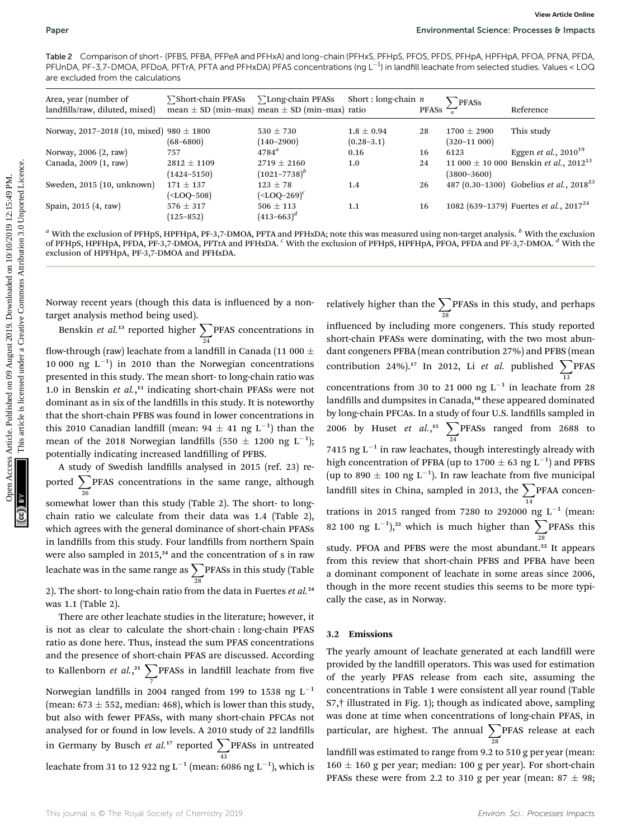Table 2 Comparison of short- (PFBS, PFBA, PFPeA and PFHxA) and long-chain (PFHxS, PFHpS, PFOS, PFDS, PFHpA, HPFHpA, PFOA, PFNA, PFDA, PFUnDA, PF-3,7-DMOA, PFDoA, PFTrA, PFTA and PFHxDA) PFAS concentrations (ng L<sup>-1</sup>) in landfill leachate from selected studies. Values < LOQ are excluded from the calculations

| are excluded from the calculations<br>Area, year (number of<br>landfills/raw, diluted, mixed)                                                                                                                                                                                                                                                                                                                                                                                                                                               | ∑Short-chain PFASs                                                                                                                                                                                                          | ∑Long-chain PFASs<br>mean $\pm$ SD (min-max) mean $\pm$ SD (min-max) ratio | Short: long-chain $n$            | <b>PFASs</b> | PFASs                            | Reference                                                                                                                                                                                                                                                                                                                                                                                                                                                                                                                                                                                                                                                                                                                                                                                                                                                                                                                                                             |
|---------------------------------------------------------------------------------------------------------------------------------------------------------------------------------------------------------------------------------------------------------------------------------------------------------------------------------------------------------------------------------------------------------------------------------------------------------------------------------------------------------------------------------------------|-----------------------------------------------------------------------------------------------------------------------------------------------------------------------------------------------------------------------------|----------------------------------------------------------------------------|----------------------------------|--------------|----------------------------------|-----------------------------------------------------------------------------------------------------------------------------------------------------------------------------------------------------------------------------------------------------------------------------------------------------------------------------------------------------------------------------------------------------------------------------------------------------------------------------------------------------------------------------------------------------------------------------------------------------------------------------------------------------------------------------------------------------------------------------------------------------------------------------------------------------------------------------------------------------------------------------------------------------------------------------------------------------------------------|
| Norway, 2017–2018 (10, mixed) 980 $\pm$ 1800                                                                                                                                                                                                                                                                                                                                                                                                                                                                                                | $(68 - 6800)$                                                                                                                                                                                                               | $530 \pm 730$<br>$(140 - 2900)$                                            | $1.8 \pm 0.94$<br>$(0.28 - 3.1)$ | 28           | $1700 \pm 2900$<br>$(320-11000)$ | This study                                                                                                                                                                                                                                                                                                                                                                                                                                                                                                                                                                                                                                                                                                                                                                                                                                                                                                                                                            |
| Norway, 2006 (2, raw)                                                                                                                                                                                                                                                                                                                                                                                                                                                                                                                       | 757                                                                                                                                                                                                                         | $4784^{\circ}$                                                             | 0.16                             | 16           | 6123                             | Eggen <i>et al.</i> , $2010^{19}$                                                                                                                                                                                                                                                                                                                                                                                                                                                                                                                                                                                                                                                                                                                                                                                                                                                                                                                                     |
| Canada, 2009 (1, raw)                                                                                                                                                                                                                                                                                                                                                                                                                                                                                                                       | $2812 \pm 1109$<br>$(1424 - 5150)$                                                                                                                                                                                          | $2719 \pm 2160$<br>$(1021 - 7738)^{b}$                                     | 1.0                              | 24           | $(3800 - 3600)$                  | 11 000 $\pm$ 10 000 Benskin <i>et al.</i> , 2012 <sup>13</sup>                                                                                                                                                                                                                                                                                                                                                                                                                                                                                                                                                                                                                                                                                                                                                                                                                                                                                                        |
| Sweden, 2015 (10, unknown)                                                                                                                                                                                                                                                                                                                                                                                                                                                                                                                  | $171 \pm 137$<br>( <loq–508)< td=""><td><math>123 \pm 78</math><br/><math>(&lt;</math>LOQ-269)<sup>c</sup></td><td>1.4</td><td>26</td><td></td><td>487 (0.30–1300) Gobelius et al., <math>2018^{23}</math></td></loq–508)<> | $123 \pm 78$<br>$(<$ LOQ-269) <sup>c</sup>                                 | 1.4                              | 26           |                                  | 487 (0.30–1300) Gobelius et al., $2018^{23}$                                                                                                                                                                                                                                                                                                                                                                                                                                                                                                                                                                                                                                                                                                                                                                                                                                                                                                                          |
| Spain, 2015 (4, raw)                                                                                                                                                                                                                                                                                                                                                                                                                                                                                                                        | $576 \pm 317$<br>$(125 - 852)$                                                                                                                                                                                              | $506 \pm 113$<br>$(413 - 663)^d$                                           | 1.1                              | 16           |                                  | 1082 (639-1379) Fuertes et al., $2017^{24}$                                                                                                                                                                                                                                                                                                                                                                                                                                                                                                                                                                                                                                                                                                                                                                                                                                                                                                                           |
| exclusion of HPFHpA, PF-3,7-DMOA and PFHxDA.                                                                                                                                                                                                                                                                                                                                                                                                                                                                                                |                                                                                                                                                                                                                             |                                                                            |                                  |              |                                  |                                                                                                                                                                                                                                                                                                                                                                                                                                                                                                                                                                                                                                                                                                                                                                                                                                                                                                                                                                       |
|                                                                                                                                                                                                                                                                                                                                                                                                                                                                                                                                             |                                                                                                                                                                                                                             |                                                                            |                                  |              |                                  |                                                                                                                                                                                                                                                                                                                                                                                                                                                                                                                                                                                                                                                                                                                                                                                                                                                                                                                                                                       |
| Benskin <i>et al.</i> <sup>13</sup> reported higher $\sum_{24}$ PFAS concentrations in                                                                                                                                                                                                                                                                                                                                                                                                                                                      |                                                                                                                                                                                                                             |                                                                            |                                  |              |                                  |                                                                                                                                                                                                                                                                                                                                                                                                                                                                                                                                                                                                                                                                                                                                                                                                                                                                                                                                                                       |
|                                                                                                                                                                                                                                                                                                                                                                                                                                                                                                                                             |                                                                                                                                                                                                                             |                                                                            |                                  |              |                                  |                                                                                                                                                                                                                                                                                                                                                                                                                                                                                                                                                                                                                                                                                                                                                                                                                                                                                                                                                                       |
|                                                                                                                                                                                                                                                                                                                                                                                                                                                                                                                                             |                                                                                                                                                                                                                             |                                                                            |                                  |              |                                  |                                                                                                                                                                                                                                                                                                                                                                                                                                                                                                                                                                                                                                                                                                                                                                                                                                                                                                                                                                       |
|                                                                                                                                                                                                                                                                                                                                                                                                                                                                                                                                             |                                                                                                                                                                                                                             |                                                                            |                                  |              |                                  |                                                                                                                                                                                                                                                                                                                                                                                                                                                                                                                                                                                                                                                                                                                                                                                                                                                                                                                                                                       |
|                                                                                                                                                                                                                                                                                                                                                                                                                                                                                                                                             |                                                                                                                                                                                                                             |                                                                            |                                  |              |                                  |                                                                                                                                                                                                                                                                                                                                                                                                                                                                                                                                                                                                                                                                                                                                                                                                                                                                                                                                                                       |
| Norway recent years (though this data is influenced by a non-<br>target analysis method being used).<br>flow-through (raw) leachate from a landfill in Canada (11 000 $\pm$<br>10 000 ng $L^{-1}$ ) in 2010 than the Norwegian concentrations<br>presented in this study. The mean short- to long-chain ratio was<br>1.0 in Benskin et $al.$ , <sup>13</sup> indicating short-chain PFASs were not<br>dominant as in six of the landfills in this study. It is noteworthy<br>that the short-chain PFBS was found in lower concentrations in |                                                                                                                                                                                                                             |                                                                            |                                  |              |                                  |                                                                                                                                                                                                                                                                                                                                                                                                                                                                                                                                                                                                                                                                                                                                                                                                                                                                                                                                                                       |
| this 2010 Canadian landfill (mean: $94 \pm 41$ ng L <sup>-1</sup> ) than the                                                                                                                                                                                                                                                                                                                                                                                                                                                                |                                                                                                                                                                                                                             |                                                                            |                                  |              |                                  |                                                                                                                                                                                                                                                                                                                                                                                                                                                                                                                                                                                                                                                                                                                                                                                                                                                                                                                                                                       |
| mean of the 2018 Norwegian landfills (550 $\pm$ 1200 ng L <sup>-1</sup> );                                                                                                                                                                                                                                                                                                                                                                                                                                                                  |                                                                                                                                                                                                                             |                                                                            |                                  |              |                                  |                                                                                                                                                                                                                                                                                                                                                                                                                                                                                                                                                                                                                                                                                                                                                                                                                                                                                                                                                                       |
|                                                                                                                                                                                                                                                                                                                                                                                                                                                                                                                                             |                                                                                                                                                                                                                             |                                                                            |                                  |              |                                  |                                                                                                                                                                                                                                                                                                                                                                                                                                                                                                                                                                                                                                                                                                                                                                                                                                                                                                                                                                       |
| A study of Swedish landfills analysed in 2015 (ref. 23) re-                                                                                                                                                                                                                                                                                                                                                                                                                                                                                 |                                                                                                                                                                                                                             |                                                                            |                                  |              |                                  |                                                                                                                                                                                                                                                                                                                                                                                                                                                                                                                                                                                                                                                                                                                                                                                                                                                                                                                                                                       |
| potentially indicating increased landfilling of PFBS.<br>ported $\sum$ PFAS concentrations in the same range, although                                                                                                                                                                                                                                                                                                                                                                                                                      |                                                                                                                                                                                                                             |                                                                            |                                  |              |                                  | relatively higher than the $\sum$ PFASs in this study, and perhaps<br>influenced by including more congeners. This study reported<br>short-chain PFASs were dominating, with the two most abun-<br>dant congeners PFBA (mean contribution 27%) and PFBS (mean<br>contribution 24%). <sup>17</sup> In 2012, Li et al. published $\sum$ PFAS<br>concentrations from 30 to 21 000 ng $L^{-1}$ in leachate from 28<br>landfills and dumpsites in Canada, <sup>18</sup> these appeared dominated<br>by long-chain PFCAs. In a study of four U.S. landfills sampled in<br>2006 by Huset et al., <sup>15</sup> $\sum$ PFASs ranged from 2688 to<br>7415 ng $\mathtt{L}^{-1}$ in raw leach<br>ates, though interestingly already with<br>high concentration of PFBA (up to $1700 \pm 63$ ng L <sup>-1</sup> ) and PFBS<br>(up to 890 $\pm$ 100 ng L <sup>-1</sup> ). In raw leachate from five municipal<br>landfill sites in China, sampled in 2013, the $\sum$ PFAA concen- |

somewhat lower than this study (Table 2). The short- to longchain ratio we calculate from their data was 1.4 (Table 2), which agrees with the general dominance of short-chain PFASs in landfills from this study. Four landfills from northern Spain were also sampled in  $2015$ ,<sup>24</sup> and the concentration of s in raw leachate was in the same range as  $\sum$  PFASs in this study (Table 28 2). The short- to long-chain ratio from the data in Fuertes et  $al.^{24}$ 

was 1.1 (Table 2).

There are other leachate studies in the literature; however, it is not as clear to calculate the short-chain : long-chain PFAS ratio as done here. Thus, instead the sum PFAS concentrations and the presence of short-chain PFAS are discussed. According to Kallenborn et al.,<sup>21</sup>  $\sum$  PFASs in landfill leachate from five 7 Norwegian landfills in 2004 ranged from 199 to 1538 ng  $L^{-1}$ (mean:  $673 \pm 552$ , median: 468), which is lower than this study, but also with fewer PFASs, with many short-chain PFCAs not analysed for or found in low levels. A 2010 study of 22 landfills in Germany by Busch et al.<sup>17</sup> reported  $\sum$ PFASs in untreated 43 leachate from 31 to 12 922 ng L $^{-1}$  (mean: 6086 ng L $^{-1}$ ), which is

relatively higher than the  $\sum$ 28 PFASs in this study, and perhaps influenced by including more congeners. This study reported short-chain PFASs were dominating, with the two most abundant congeners PFBA (mean contribution 27%) and PFBS (mean contribution 24%).<sup>17</sup> In 2012, Li et al. published  $\sum$  PFAS 13 concentrations from 30 to 21 000 ng  $L^{-1}$  in leachate from 28 landfills and dumpsites in Canada,<sup>18</sup> these appeared dominated by long-chain PFCAs. In a study of four U.S. landfills sampled in 2006 by Huset et al.,<sup>15</sup>  $\sum$ 24 PFASs ranged from 2688 to 7415 ng  $L^{-1}$  in raw leachates, though interestingly already with high concentration of PFBA (up to  $1700 \pm 63$  ng L<sup>-1</sup>) and PFBS (up to 890  $\pm$  100 ng L<sup>-1</sup>). In raw leachate from five municipal landfill sites in China, sampled in 2013, the  $\sum$ 14 PFAA concentrations in 2015 ranged from 7280 to 292000 ng  $L^{-1}$  (mean: 82 100 ng L<sup>-1</sup>),<sup>22</sup> which is much higher than  $\sum$ PFASs this 28 study. PFOA and PFBS were the most abundant.<sup>22</sup> It appears from this review that short-chain PFBS and PFBA have been a dominant component of leachate in some areas since 2006, though in the more recent studies this seems to be more typically the case, as in Norway.

#### 3.2 Emissions

The yearly amount of leachate generated at each landfill were provided by the landfill operators. This was used for estimation of the yearly PFAS release from each site, assuming the concentrations in Table 1 were consistent all year round (Table S7,† illustrated in Fig. 1); though as indicated above, sampling was done at time when concentrations of long-chain PFAS, in particular, are highest. The annual  $\sum$ PFAS release at each 28 landfill was estimated to range from 9.2 to 510 g per year (mean: 160  $\pm$  160 g per year; median: 100 g per year). For short-chain PFASs these were from 2.2 to 310 g per year (mean:  $87 \pm 98$ ;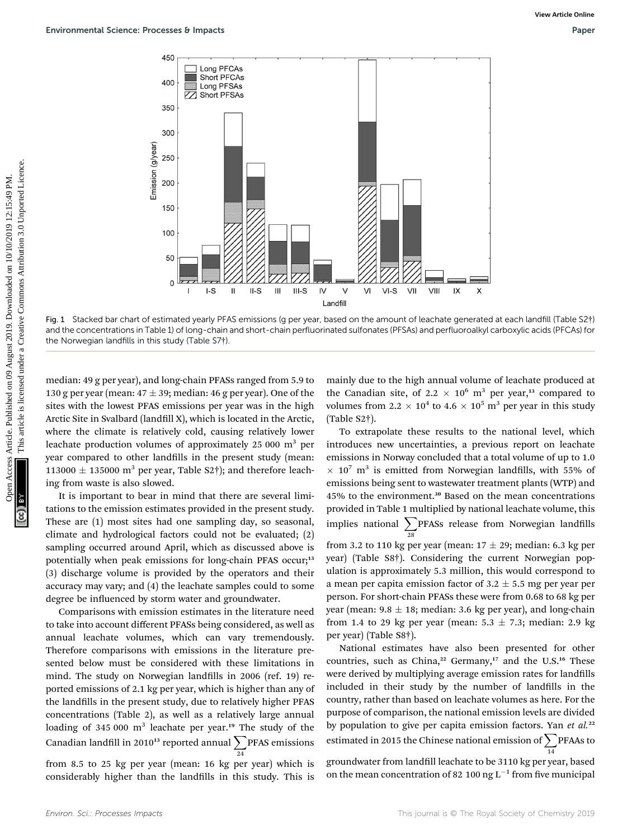

Fig. 1 Stacked bar chart of estimated yearly PFAS emissions (g per year, based on the amount of leachate generated at each landfill (Table S2†) and the concentrations in Table 1) of long-chain and short-chain perfluorinated sulfonates (PFSAs) and perfluoroalkyl carboxylic acids (PFCAs) for the Norwegian landfills in this study (Table S7†).

median: 49 g per year), and long-chain PFASs ranged from 5.9 to 130 g per year (mean:  $47 \pm 39$ ; median: 46 g per year). One of the sites with the lowest PFAS emissions per year was in the high Arctic Site in Svalbard (landfill X), which is located in the Arctic, where the climate is relatively cold, causing relatively lower leachate production volumes of approximately  $25\,000\,$  m<sup>3</sup> per year compared to other landfills in the present study (mean: 113000  $\pm$  135000 m<sup>3</sup> per year, Table S2†); and therefore leaching from waste is also slowed.

It is important to bear in mind that there are several limitations to the emission estimates provided in the present study. These are (1) most sites had one sampling day, so seasonal, climate and hydrological factors could not be evaluated; (2) sampling occurred around April, which as discussed above is potentially when peak emissions for long-chain PFAS occur;<sup>13</sup> (3) discharge volume is provided by the operators and their accuracy may vary; and (4) the leachate samples could to some degree be influenced by storm water and groundwater.

Comparisons with emission estimates in the literature need to take into account different PFASs being considered, as well as annual leachate volumes, which can vary tremendously. Therefore comparisons with emissions in the literature presented below must be considered with these limitations in mind. The study on Norwegian landfills in 2006 (ref. 19) reported emissions of 2.1 kg per year, which is higher than any of the landfills in the present study, due to relatively higher PFAS concentrations (Table 2), as well as a relatively large annual loading of 345 000  $m<sup>3</sup>$  leachate per year.<sup>19</sup> The study of the Canadian landfill in 2010<sup>13</sup> reported annual  $\sum$  PFAS emissions 24

from 8.5 to 25 kg per year (mean: 16 kg per year) which is considerably higher than the landfills in this study. This is mainly due to the high annual volume of leachate produced at the Canadian site, of 2.2  $\times$  10<sup>6</sup> m<sup>3</sup> per year,<sup>13</sup> compared to volumes from 2.2  $\times$  10<sup>4</sup> to 4.6  $\times$  10<sup>5</sup> m<sup>3</sup> per year in this study (Table S2†).

To extrapolate these results to the national level, which introduces new uncertainties, a previous report on leachate emissions in Norway concluded that a total volume of up to 1.0  $\times$  10<sup>7</sup> m<sup>3</sup> is emitted from Norwegian landfills, with 55% of emissions being sent to wastewater treatment plants (WTP) and 45% to the environment.<sup>30</sup> Based on the mean concentrations provided in Table 1 multiplied by national leachate volume, this implies national  $\sum$ PFASs release from Norwegian landfills 28

from 3.2 to 110 kg per year (mean:  $17 \pm 29$ ; median: 6.3 kg per year) (Table S8†). Considering the current Norwegian population is approximately 5.3 million, this would correspond to a mean per capita emission factor of  $3.2 \pm 5.5$  mg per year per person. For short-chain PFASs these were from 0.68 to 68 kg per year (mean:  $9.8 \pm 18$ ; median: 3.6 kg per year), and long-chain from 1.4 to 29 kg per year (mean:  $5.3 \pm 7.3$ ; median: 2.9 kg per year) (Table S8†).

National estimates have also been presented for other countries, such as China,<sup>22</sup> Germany,<sup>17</sup> and the U.S.<sup>16</sup> These were derived by multiplying average emission rates for landfills included in their study by the number of landfills in the country, rather than based on leachate volumes as here. For the purpose of comparison, the national emission levels are divided by population to give per capita emission factors. Yan et al.<sup>22</sup> estimated in 2015 the Chinese national emission of  $\sum$ PFAAs to 14

groundwater from landfill leachate to be 3110 kg per year, based on the mean concentration of 82 100 ng  $L^{-1}$  from five municipal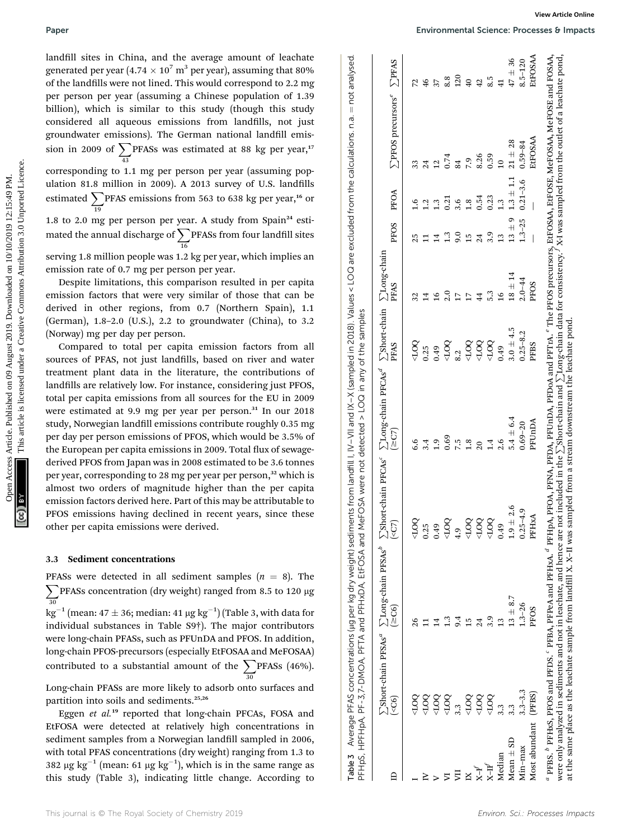#### 3.3 Sediment concentrations

| Paper                                                                                                                                                                                                                                                                                                                                                                                                                                                                                                                                                                   | View Article Online<br>Environmental Science: Processes & Impacts                                                                                                                                                                                                                                                    |
|-------------------------------------------------------------------------------------------------------------------------------------------------------------------------------------------------------------------------------------------------------------------------------------------------------------------------------------------------------------------------------------------------------------------------------------------------------------------------------------------------------------------------------------------------------------------------|----------------------------------------------------------------------------------------------------------------------------------------------------------------------------------------------------------------------------------------------------------------------------------------------------------------------|
| landfill sites in China, and the average amount of leachate<br>generated per year (4.74 $\times$ 10 <sup>7</sup> m <sup>3</sup> per year), assuming that 80%<br>of the landfills were not lined. This would correspond to 2.2 mg                                                                                                                                                                                                                                                                                                                                        | EtFOSAA<br>not analysed<br>$47 \pm 36$<br>$8.5 - 120$<br>$\Sigma$ PFAS<br>$120\,$<br>8.5<br>8.8<br>40<br>41<br>42<br>$72$<br>46<br>$\overline{37}$                                                                                                                                                                   |
| per person per year (assuming a Chinese population of 1.39<br>billion), which is similar to this study (though this study<br>considered all aqueous emissions from landfills, not just<br>groundwater emissions). The German national landfill emis-                                                                                                                                                                                                                                                                                                                    | <b>S</b> PFOS precursors <sup>e</sup><br>$\lvert \rvert$                                                                                                                                                                                                                                                             |
| sion in 2009 of $\sum$ PFASs was estimated at 88 kg per year, <sup>17</sup><br>corresponding to 1.1 mg per person per year (assuming pop-                                                                                                                                                                                                                                                                                                                                                                                                                               | EtFOSAA<br>$21 \pm 28$<br>$0.59 - 84$<br>8.26<br>0.59<br>0.74<br>7.9<br>$\overline{10}$<br>84<br>$\overline{12}$<br>24                                                                                                                                                                                               |
| ulation 81.8 million in 2009). A 2013 survey of U.S. landfills<br>estimated $\sum_{19}$ PFAS emissions from 563 to 638 kg per year, <sup>16</sup> or                                                                                                                                                                                                                                                                                                                                                                                                                    | $1.3\pm1.1$<br>$0.21 - 3.6$<br>PFOA<br>0.23<br>0.54<br>0.21<br>3.6<br>$1.8\,$<br>1.3                                                                                                                                                                                                                                 |
| 1.8 to 2.0 mg per person per year. A study from Spain <sup>24</sup> esti-<br>mated the annual discharge of $\sum$ PFASs from four landfill sites                                                                                                                                                                                                                                                                                                                                                                                                                        | G<br>$1.3 - 25$<br>PFOS<br>$13~\pm$<br>$1.3$<br>9.0<br>3.9<br>15<br>24<br>$\overline{14}$<br>$\frac{3}{2}$<br>$25$ T                                                                                                                                                                                                 |
| serving 1.8 million people was 1.2 kg per year, which implies an<br>emission rate of 0.7 mg per person per year.<br>Despite limitations, this comparison resulted in per capita<br>emission factors that were very similar of those that can be<br>derived in other regions, from 0.7 (Northern Spain), 1.1                                                                                                                                                                                                                                                             | $\Sigma$ Long-chain<br>$18 \pm 14$<br>$2.0 - 44$<br>PFOS<br>PFAS<br>2.0<br>5.3<br>44<br>$\frac{6}{1}$<br>16<br>14<br>$\overline{17}$<br>17<br>32                                                                                                                                                                     |
| (German), 1.8-2.0 (U.S.), 2.2 to groundwater (China), to 3.2<br>(Norway) mg per day per person.<br>Compared to total per capita emission factors from all<br>sources of PFAS, not just landfills, based on river and water<br>treatment plant data in the literature, the contributions of                                                                                                                                                                                                                                                                              | <b>Short-chain</b><br>$3.0 \pm 4.5$<br>$0.25 - 8.2$<br>QQT<br>QQ1><br>502 <sub>b</sub><br>5002<br>$\overline{5}$<br>PFBS<br>PFAS<br>0.25<br>0.49<br>0.49<br>8.2                                                                                                                                                      |
| landfills are relatively low. For instance, considering just PFOS,<br>total per capita emissions from all sources for the EU in 2009<br>were estimated at 9.9 mg per year per person. <sup>31</sup> In our 2018<br>study, Norwegian landfill emissions contribute roughly 0.35 mg<br>per day per person emissions of PFOS, which would be 3.5% of<br>the European per capita emissions in 2009. Total flux of sewage-<br>derived PFOS from Japan was in 2008 estimated to be 3.6 tonnes<br>per year, corresponding to 28 mg per year per person, <sup>32</sup> which is | $m$ landfill   IV – VII and IX – X (sampled in 2018). Values < LOQ are excluded from the calculations. n.a.<br>were not detected $>$ LOQ in any of the samples<br>$\Sigma$ Long-chain PFCAs $^d$<br>$5.4 \pm 6.4$<br>PFUnDA<br>$0.69 - 20$<br>(2C7)<br>$0.69$<br>7.5<br>1.8<br>1.9<br>1.4<br>2.6<br>6.6<br>3.4<br>20 |
| almost two orders of magnitude higher than the per capita<br>emission factors derived here. Part of this may be attributable to<br>PFOS emissions having declined in recent years, since these<br>other per capita emissions were derived.                                                                                                                                                                                                                                                                                                                              | <b>Short-chain PFCAs</b><br>EtFOSA and MeFOSA<br>$1.9 \pm 2.6$<br>$0.25 - 4.9$<br>PFHxA<br>5007<br>5001<br>5007<br>5007<br>500<br>(5)<br>0.49<br>0.25<br>0.49<br>4.9                                                                                                                                                 |
| <b>Sediment concentrations</b><br>3.3                                                                                                                                                                                                                                                                                                                                                                                                                                                                                                                                   |                                                                                                                                                                                                                                                                                                                      |
| PFASs were detected in all sediment samples $(n = 8)$ . The<br>PFASs concentration (dry weight) ranged from 8.5 to 120 µg<br>$\text{kg}^{-1}$ (mean: 47 ± 36; median: 41 µg kg <sup>-1</sup> ) (Table 3, with data for<br>individual substances in Table S9 <sup>†</sup> ). The major contributors<br>were long-chain PFASs, such as PFUnDA and PFOS. In addition,<br>long-chain PFOS-precursors (especially EtFOSAA and MeFOSAA)<br>contributed to a substantial amount of the $\sum$ PFASs (46%).                                                                     | Average PFAS concentrations (µg per kg dry weight) sediments fro<br>$\sum$ Long-chain PFSAs $^b$<br>PF-3,7-DMOA, PFTA and PFHxDA,<br>$13 \pm 8.7$<br>$1.3 - 26$<br>(2C6)<br>PFOS<br>3.9<br>1.3<br>9.4<br>15<br>24<br>13                                                                                              |
| Long-chain PFASs are more likely to adsorb onto surfaces and<br>partition into soils and sediments. <sup>25,26</sup><br>Eggen et al. <sup>19</sup> reported that long-chain PFCAs, FOSA and                                                                                                                                                                                                                                                                                                                                                                             | Short-chain PFSAs <sup>a</sup><br>$3.3 - 3.3$<br>(PFBS)<br>500<br>OQ1<br>$5001$<br><b>OOT&gt;</b><br>500<br>OOT><br>OOT><br>( <sub>CG</sub> )<br>3.3<br>3.3<br>3.3                                                                                                                                                   |
| EtFOSA were detected at relatively high concentrations in<br>sediment samples from a Norwegian landfill sampled in 2006,<br>with total PFAS concentrations (dry weight) ranging from 1.3 to<br>382 µg kg <sup>-1</sup> (mean: 61 µg kg <sup>-1</sup> ), which is in the same range as<br>this study (Table 3), indicating little change, According to                                                                                                                                                                                                                   | HPFHpA,<br>Most abundant<br>$Mean \pm SD$<br>Min-max<br>Median<br>PFHpS,<br>Table 3<br>H-X<br>$\mathsf{D}$<br>Ę                                                                                                                                                                                                      |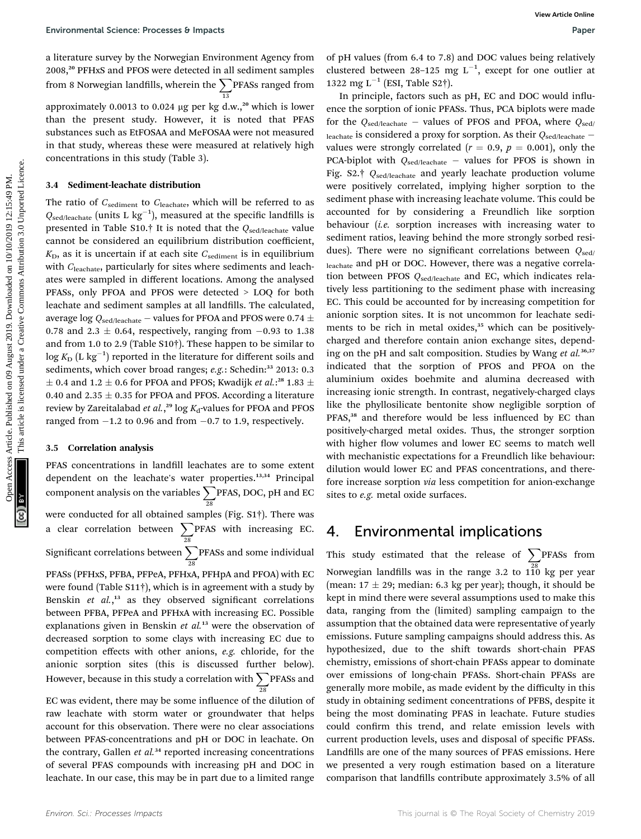a literature survey by the Norwegian Environment Agency from 2008,<sup>20</sup> PFHxS and PFOS were detected in all sediment samples from 8 Norwegian landfills, wherein the  $\sum$ PFASs ranged from 13 approximately 0.0013 to 0.024  $\mu$ g per kg d.w.,<sup>20</sup> which is lower than the present study. However, it is noted that PFAS substances such as EtFOSAA and MeFOSAA were not measured in that study, whereas these were measured at relatively high concentrations in this study (Table 3).

#### 3.4 Sediment-leachate distribution

The ratio of  $C_{\text{sediment}}$  to  $C_{\text{leachate}}$ , which will be referred to as  $Q_{\text{sed/leachate}}$  (units L  $\text{kg}^{-1}$ ), measured at the specific landfills is presented in Table S10.† It is noted that the  $Q_{\text{sed/leachate}}$  value cannot be considered an equilibrium distribution coefficient,  $K<sub>D</sub>$ , as it is uncertain if at each site  $C<sub>sediment</sub>$  is in equilibrium with C<sub>leachate</sub>, particularly for sites where sediments and leachates were sampled in different locations. Among the analysed PFASs, only PFOA and PFOS were detected > LOQ for both leachate and sediment samples at all landfills. The calculated, average log  $Q_{\rm sed/leachate}$  – values for PFOA and PFOS were 0.74  $\pm$ 0.78 and 2.3  $\pm$  0.64, respectively, ranging from  $-0.93$  to 1.38 and from 1.0 to 2.9 (Table S10†). These happen to be similar to  $\log K_\mathrm{D} \, (\mathrm{L} \; \mathrm{kg}^{-1})$  reported in the literature for different soils and sediments, which cover broad ranges; e.g.: Schedin:<sup>33</sup> 2013: 0.3  $\pm$  0.4 and 1.2  $\pm$  0.6 for PFOA and PFOS; Kwadijk *et al*.:<sup>28</sup> 1.83  $\pm$ 0.40 and 2.35  $\pm$  0.35 for PFOA and PFOS. According a literature review by Zareitalabad *et al.*,<sup>29</sup> log K<sub>d</sub>-values for PFOA and PFOS ranged from  $-1.2$  to 0.96 and from  $-0.7$  to 1.9, respectively.

#### 3.5 Correlation analysis

PFAS concentrations in landfill leachates are to some extent dependent on the leachate's water properties.<sup>13,34</sup> Principal component analysis on the variables  $\sum$  PFAS, DOC, pH and EC 28 were conducted for all obtained samples (Fig. S1†). There was a clear correlation between  $\sum$ 28 PFAS with increasing EC. Significant correlations between  $\sum$  PFASs and some individual 28 PFASs (PFHxS, PFBA, PFPeA, PFHxA, PFHpA and PFOA) with EC were found (Table S11†), which is in agreement with a study by Benskin et al.,<sup>13</sup> as they observed significant correlations between PFBA, PFPeA and PFHxA with increasing EC. Possible explanations given in Benskin et  $al$ <sup>13</sup> were the observation of decreased sorption to some clays with increasing EC due to competition effects with other anions, e.g. chloride, for the anionic sorption sites (this is discussed further below). However, because in this study a correlation with  $\sum$  <code>PFASs</code> and 28

EC was evident, there may be some influence of the dilution of raw leachate with storm water or groundwater that helps account for this observation. There were no clear associations between PFAS-concentrations and pH or DOC in leachate. On the contrary, Gallen  $et$   $al.^{34}$  reported increasing concentrations of several PFAS compounds with increasing pH and DOC in leachate. In our case, this may be in part due to a limited range

of pH values (from 6.4 to 7.8) and DOC values being relatively clustered between 28-125 mg  $L^{-1}$ , except for one outlier at 1322 mg  $L^{-1}$  (ESI, Table S2†).

In principle, factors such as pH, EC and DOC would influence the sorption of ionic PFASs. Thus, PCA biplots were made for the  $Q_{\text{sed/leachate}}$  – values of PFOS and PFOA, where  $Q_{\text{sed}}$ leachate is considered a proxy for sorption. As their  $Q_{\text{sed/leachate}}$  values were strongly correlated ( $r = 0.9$ ,  $p = 0.001$ ), only the PCA-biplot with  $Q_{\text{sed/leachate}}$  - values for PFOS is shown in Fig. S2.† Q<sub>sed/leachate</sub> and yearly leachate production volume were positively correlated, implying higher sorption to the sediment phase with increasing leachate volume. This could be accounted for by considering a Freundlich like sorption behaviour (i.e. sorption increases with increasing water to sediment ratios, leaving behind the more strongly sorbed residues). There were no significant correlations between  $Q_{\text{sed}}$ leachate and pH or DOC. However, there was a negative correlation between PFOS  $Q_{\text{sed/leachate}}$  and EC, which indicates relatively less partitioning to the sediment phase with increasing EC. This could be accounted for by increasing competition for anionic sorption sites. It is not uncommon for leachate sediments to be rich in metal oxides,<sup>35</sup> which can be positivelycharged and therefore contain anion exchange sites, depending on the pH and salt composition. Studies by Wang et al.<sup>36,37</sup> indicated that the sorption of PFOS and PFOA on the aluminium oxides boehmite and alumina decreased with increasing ionic strength. In contrast, negatively-charged clays like the phyllosilicate bentonite show negligible sorption of PFAS,<sup>38</sup> and therefore would be less influenced by EC than positively-charged metal oxides. Thus, the stronger sorption with higher flow volumes and lower EC seems to match well with mechanistic expectations for a Freundlich like behaviour: dilution would lower EC and PFAS concentrations, and therefore increase sorption via less competition for anion-exchange sites to e.g. metal oxide surfaces. Environmental Science Processes B impacts<br>
alternative Show Science Constraine and Fisherine complete constrained in the simulation of 10/12 and DOC was articles.<br>
2019. This are cleared in it is said and Fisherine comple

### 4. Environmental implications

This study estimated that the release of  $\sum$ PFASs from Norwegian landfills was in the range 3.2 to  $1\overset{28}{10}$  kg per year (mean:  $17 \pm 29$ ; median: 6.3 kg per year); though, it should be kept in mind there were several assumptions used to make this data, ranging from the (limited) sampling campaign to the assumption that the obtained data were representative of yearly emissions. Future sampling campaigns should address this. As hypothesized, due to the shift towards short-chain PFAS chemistry, emissions of short-chain PFASs appear to dominate over emissions of long-chain PFASs. Short-chain PFASs are generally more mobile, as made evident by the difficulty in this study in obtaining sediment concentrations of PFBS, despite it being the most dominating PFAS in leachate. Future studies could confirm this trend, and relate emission levels with current production levels, uses and disposal of specific PFASs. Landfills are one of the many sources of PFAS emissions. Here we presented a very rough estimation based on a literature comparison that landfills contribute approximately 3.5% of all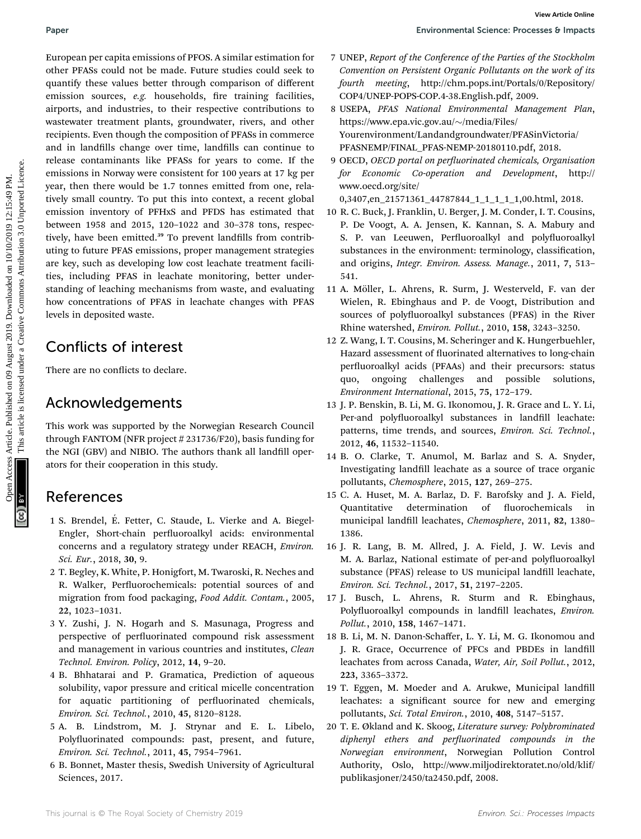European per capita emissions of PFOS. A similar estimation for other PFASs could not be made. Future studies could seek to quantify these values better through comparison of different emission sources, e.g. households, fire training facilities, airports, and industries, to their respective contributions to wastewater treatment plants, groundwater, rivers, and other recipients. Even though the composition of PFASs in commerce and in landfills change over time, landfills can continue to release contaminants like PFASs for years to come. If the emissions in Norway were consistent for 100 years at 17 kg per year, then there would be 1.7 tonnes emitted from one, relatively small country. To put this into context, a recent global emission inventory of PFHxS and PFDS has estimated that between 1958 and 2015, 120–1022 and 30–378 tons, respectively, have been emitted.<sup>39</sup> To prevent landfills from contributing to future PFAS emissions, proper management strategies are key, such as developing low cost leachate treatment facilities, including PFAS in leachate monitoring, better understanding of leaching mechanisms from waste, and evaluating how concentrations of PFAS in leachate changes with PFAS levels in deposited waste. Paper Euro-samper article comparison of PUS Article on the comparison of PUS Article of the Comparison on the main Francisco Common Access Article is limited to the common Access Article is limited to the common Access Ar

## Conflicts of interest

There are no conflicts to declare.

## Acknowledgements

This work was supported by the Norwegian Research Council through FANTOM (NFR project # 231736/F20), basis funding for the NGI (GBV) and NIBIO. The authors thank all landfill operators for their cooperation in this study.

## References

- 1 S. Brendel, E. Fetter, C. Staude, L. Vierke and A. Biegel- ´ Engler, Short-chain perfluoroalkyl acids: environmental concerns and a regulatory strategy under REACH, Environ. Sci. Eur., 2018, 30, 9.
- 2 T. Begley, K. White, P. Honigfort, M. Twaroski, R. Neches and R. Walker, Perfluorochemicals: potential sources of and migration from food packaging, Food Addit. Contam., 2005, 22, 1023–1031.
- 3 Y. Zushi, J. N. Hogarh and S. Masunaga, Progress and perspective of perfluorinated compound risk assessment and management in various countries and institutes, Clean Technol. Environ. Policy, 2012, 14, 9–20.
- 4 B. Bhhatarai and P. Gramatica, Prediction of aqueous solubility, vapor pressure and critical micelle concentration for aquatic partitioning of perfluorinated chemicals, Environ. Sci. Technol., 2010, 45, 8120–8128.
- 5 A. B. Lindstrom, M. J. Strynar and E. L. Libelo, Polyfluorinated compounds: past, present, and future, Environ. Sci. Technol., 2011, 45, 7954–7961.
- 6 B. Bonnet, Master thesis, Swedish University of Agricultural Sciences, 2017.
- 7 UNEP, Report of the Conference of the Parties of the Stockholm Convention on Persistent Organic Pollutants on the work of its fourth meeting, http://chm.pops.int/Portals/0/Repository/ COP4/UNEP-POPS-COP.4-38.English.pdf, 2009.
- 8 USEPA, PFAS National Environmental Management Plan, https://www.epa.vic.gov.au/~/media/Files/ Yourenvironment/Landandgroundwater/PFASinVictoria/ PFASNEMP/FINAL\_PFAS-NEMP-20180110.pdf, 2018.
- 9 OECD, OECD portal on perfluorinated chemicals, Organisation for Economic Co-operation and Development, http:// www.oecd.org/site/
- 0,3407,en\_21571361\_44787844\_1\_1\_1\_1\_1,00.html, 2018.
- 10 R. C. Buck, J. Franklin, U. Berger, J. M. Conder, I. T. Cousins, P. De Voogt, A. A. Jensen, K. Kannan, S. A. Mabury and S. P. van Leeuwen, Perfluoroalkyl and polyfluoroalkyl substances in the environment: terminology, classification, and origins, Integr. Environ. Assess. Manage., 2011, 7, 513– 541.
- 11 A. Möller, L. Ahrens, R. Surm, J. Westerveld, F. van der Wielen, R. Ebinghaus and P. de Voogt, Distribution and sources of polyfluoroalkyl substances (PFAS) in the River Rhine watershed, Environ. Pollut., 2010, 158, 3243–3250.
- 12 Z. Wang, I. T. Cousins, M. Scheringer and K. Hungerbuehler, Hazard assessment of fluorinated alternatives to long-chain perfluoroalkyl acids (PFAAs) and their precursors: status quo, ongoing challenges and possible solutions, Environment International, 2015, 75, 172–179.
- 13 J. P. Benskin, B. Li, M. G. Ikonomou, J. R. Grace and L. Y. Li, Per-and polyfluoroalkyl substances in landfill leachate: patterns, time trends, and sources, Environ. Sci. Technol., 2012, 46, 11532–11540.
- 14 B. O. Clarke, T. Anumol, M. Barlaz and S. A. Snyder, Investigating landfill leachate as a source of trace organic pollutants, Chemosphere, 2015, 127, 269–275.
- 15 C. A. Huset, M. A. Barlaz, D. F. Barofsky and J. A. Field, Quantitative determination of fluorochemicals in municipal landfill leachates, Chemosphere, 2011, 82, 1380-1386.
- 16 J. R. Lang, B. M. Allred, J. A. Field, J. W. Levis and M. A. Barlaz, National estimate of per-and polyfluoroalkyl substance (PFAS) release to US municipal landfill leachate, Environ. Sci. Technol., 2017, 51, 2197–2205.
- 17 J. Busch, L. Ahrens, R. Sturm and R. Ebinghaus, Polyfluoroalkyl compounds in landfill leachates, Environ. Pollut., 2010, 158, 1467–1471.
- 18 B. Li, M. N. Danon-Schaffer, L. Y. Li, M. G. Ikonomou and J. R. Grace, Occurrence of PFCs and PBDEs in landfill leachates from across Canada, Water, Air, Soil Pollut., 2012, 223, 3365–3372.
- 19 T. Eggen, M. Moeder and A. Arukwe, Municipal landfill leachates: a significant source for new and emerging pollutants, Sci. Total Environ., 2010, 408, 5147–5157.
- 20 T. E. Økland and K. Skoog, Literature survey: Polybrominated  $diphenyl$  ethers and perfluorinated compounds in the Norwegian environment, Norwegian Pollution Control Authority, Oslo, http://www.miljodirektoratet.no/old/klif/ publikasjoner/2450/ta2450.pdf, 2008.